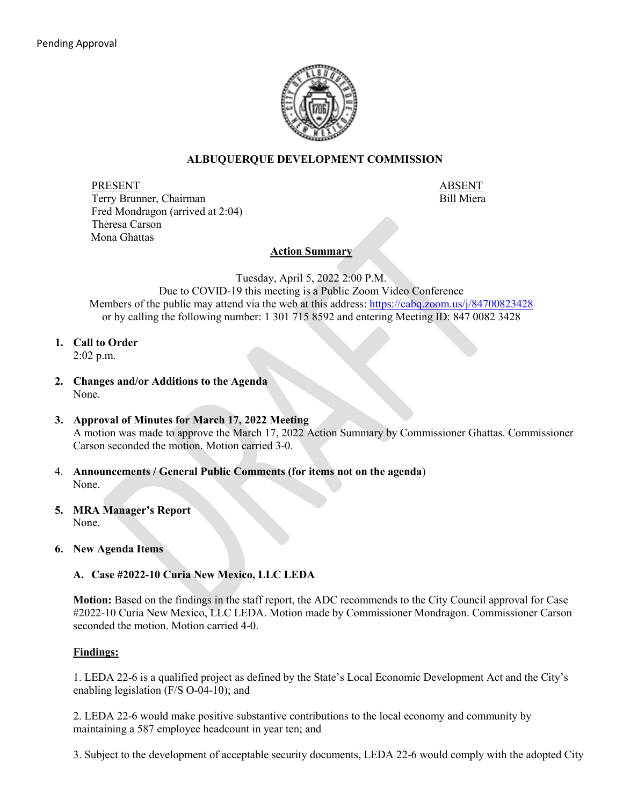

### **ALBUQUERQUE DEVELOPMENT COMMISSION**

PRESENT ABSENT Terry Brunner, Chairman Bill Miera Fred Mondragon (arrived at 2:04) Theresa Carson Mona Ghattas

#### **Action Summary**

Tuesday, April 5, 2022 2:00 P.M.

Due to COVID-19 this meeting is a Public Zoom Video Conference Members of the public may attend via the web at this address:<https://cabq.zoom.us/j/84700823428> or by calling the following number: 1 301 715 8592 and entering Meeting ID: 847 0082 3428

**1. Call to Order**

2:02 p.m.

- **2. Changes and/or Additions to the Agenda** None.
- **3. Approval of Minutes for March 17, 2022 Meeting** A motion was made to approve the March 17, 2022 Action Summary by Commissioner Ghattas. Commissioner Carson seconded the motion. Motion carried 3-0.
- 4. **Announcements / General Public Comments (for items not on the agenda**) None.
- **5. MRA Manager's Report** None.
- **6. New Agenda Items**

# **A. Case #2022-10 Curia New Mexico, LLC LEDA**

**Motion:** Based on the findings in the staff report, the ADC recommends to the City Council approval for Case #2022-10 Curia New Mexico, LLC LEDA. Motion made by Commissioner Mondragon. Commissioner Carson seconded the motion. Motion carried 4-0.

# **Findings:**

1. LEDA 22-6 is a qualified project as defined by the State's Local Economic Development Act and the City's enabling legislation (F/S O-04-10); and

2. LEDA 22-6 would make positive substantive contributions to the local economy and community by maintaining a 587 employee headcount in year ten; and

3. Subject to the development of acceptable security documents, LEDA 22-6 would comply with the adopted City